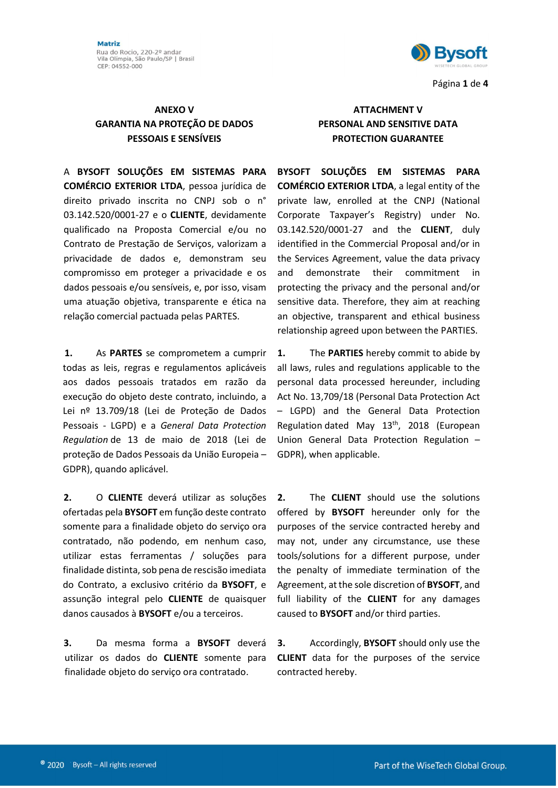Matriz Rua do Rocio, 220-2º andar<br>Vila Olímpia, São Paulo/SP | Brasil CEP: 04552-000



Página 1 de 4

## GARANTIA NA PROTEÇÃO DE DADOS PESSOAIS E SENSÍVEIS

A BYSOFT SOLUÇÕES EM SISTEMAS PARA COMÉRCIO EXTERIOR LTDA, pessoa jurídica de direito privado inscrita no CNPJ sob o n° 03.142.520/0001-27 e o CLIENTE, devidamente qualificado na Proposta Comercial e/ou no Contrato de Prestação de Serviços, valorizam a privacidade de dados e, demonstram seu compromisso em proteger a privacidade e os dados pessoais e/ou sensíveis, e, por isso, visam uma atuação objetiva, transparente e ética na relação comercial pactuada pelas PARTES.

1. As PARTES se comprometem a cumprir todas as leis, regras e regulamentos aplicáveis aos dados pessoais tratados em razão da execução do objeto deste contrato, incluindo, a Lei nº 13.709/18 (Lei de Proteção de Dados Pessoais - LGPD) e a General Data Protection Regulation de 13 de maio de 2018 (Lei de proteção de Dados Pessoais da União Europeia – GDPR), quando aplicável.

2. O CLIENTE deverá utilizar as soluções ofertadas pela BYSOFT em função deste contrato somente para a finalidade objeto do serviço ora contratado, não podendo, em nenhum caso, utilizar estas ferramentas / soluções para finalidade distinta, sob pena de rescisão imediata do Contrato, a exclusivo critério da BYSOFT, e assunção integral pelo CLIENTE de quaisquer danos causados à BYSOFT e/ou a terceiros.

3. Da mesma forma a BYSOFT deverá utilizar os dados do CLIENTE somente para finalidade objeto do serviço ora contratado.

## ANEXO V ATTACHMENT V PERSONAL AND SENSITIVE DATA PROTECTION GUARANTEE

BYSOFT SOLUÇÕES EM SISTEMAS PARA COMÉRCIO EXTERIOR LTDA, a legal entity of the private law, enrolled at the CNPJ (National Corporate Taxpayer's Registry) under No. 03.142.520/0001-27 and the CLIENT, duly identified in the Commercial Proposal and/or in the Services Agreement, value the data privacy and demonstrate their commitment in protecting the privacy and the personal and/or sensitive data. Therefore, they aim at reaching an objective, transparent and ethical business relationship agreed upon between the PARTIES.

1. The **PARTIES** hereby commit to abide by all laws, rules and regulations applicable to the personal data processed hereunder, including Act No. 13,709/18 (Personal Data Protection Act – LGPD) and the General Data Protection Regulation dated May 13th, 2018 (European Union General Data Protection Regulation – GDPR), when applicable.

2. The **CLIENT** should use the solutions offered by **BYSOFT** hereunder only for the purposes of the service contracted hereby and may not, under any circumstance, use these tools/solutions for a different purpose, under the penalty of immediate termination of the Agreement, at the sole discretion of BYSOFT, and full liability of the **CLIENT** for any damages caused to BYSOFT and/or third parties.

3. Accordingly, BYSOFT should only use the CLIENT data for the purposes of the service contracted hereby.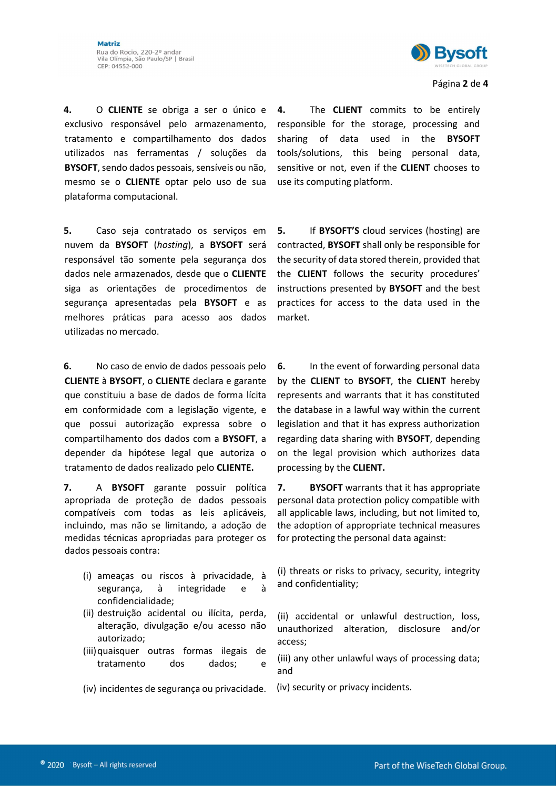4. O CLIENTE se obriga a ser o único e exclusivo responsável pelo armazenamento, tratamento e compartilhamento dos dados utilizados nas ferramentas / soluções da BYSOFT, sendo dados pessoais, sensíveis ou não, mesmo se o CLIENTE optar pelo uso de sua plataforma computacional.

5. Caso seja contratado os serviços em nuvem da BYSOFT (hosting), a BYSOFT será responsável tão somente pela segurança dos dados nele armazenados, desde que o CLIENTE siga as orientações de procedimentos de segurança apresentadas pela **BYSOFT** e as melhores práticas para acesso aos dados utilizadas no mercado.

6. No caso de envio de dados pessoais pelo CLIENTE à BYSOFT, o CLIENTE declara e garante que constituiu a base de dados de forma lícita em conformidade com a legislação vigente, e que possui autorização expressa sobre o compartilhamento dos dados com a BYSOFT, a depender da hipótese legal que autoriza o tratamento de dados realizado pelo CLIENTE.

7. A BYSOFT garante possuir política apropriada de proteção de dados pessoais compatíveis com todas as leis aplicáveis, incluindo, mas não se limitando, a adoção de medidas técnicas apropriadas para proteger os dados pessoais contra:

- (i) ameaças ou riscos à privacidade, à segurança, à integridade e à confidencialidade;
- (ii) destruição acidental ou ilícita, perda, alteração, divulgação e/ou acesso não autorizado;
- (iii)quaisquer outras formas ilegais de tratamento dos dados; e
- (iv) incidentes de segurança ou privacidade.

4. The **CLIENT** commits to be entirely responsible for the storage, processing and sharing of data used in the **BYSOFT** tools/solutions, this being personal data, sensitive or not, even if the **CLIENT** chooses to use its computing platform.

5. If BYSOFT'S cloud services (hosting) are contracted, BYSOFT shall only be responsible for the security of data stored therein, provided that the CLIENT follows the security procedures' instructions presented by BYSOFT and the best practices for access to the data used in the market.

6. In the event of forwarding personal data by the CLIENT to BYSOFT, the CLIENT hereby represents and warrants that it has constituted the database in a lawful way within the current legislation and that it has express authorization regarding data sharing with BYSOFT, depending on the legal provision which authorizes data processing by the CLIENT.

7. BYSOFT warrants that it has appropriate personal data protection policy compatible with all applicable laws, including, but not limited to, the adoption of appropriate technical measures for protecting the personal data against:

(i) threats or risks to privacy, security, integrity and confidentiality;

(ii) accidental or unlawful destruction, loss, unauthorized alteration, disclosure and/or access;

(iii) any other unlawful ways of processing data; and

(iv) security or privacy incidents.

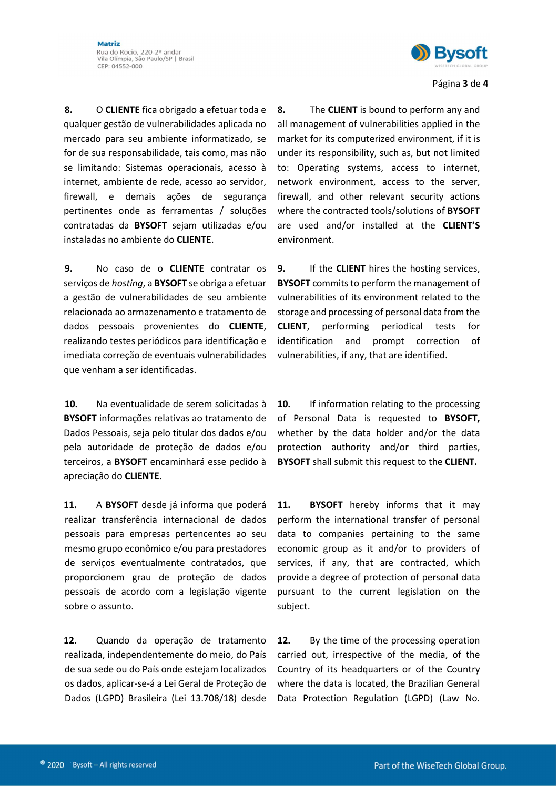

Página 3 de 4

8. O CLIENTE fica obrigado a efetuar toda e qualquer gestão de vulnerabilidades aplicada no mercado para seu ambiente informatizado, se for de sua responsabilidade, tais como, mas não se limitando: Sistemas operacionais, acesso à internet, ambiente de rede, acesso ao servidor, firewall, e demais ações de segurança pertinentes onde as ferramentas / soluções contratadas da BYSOFT sejam utilizadas e/ou instaladas no ambiente do CLIENTE.

9. No caso de o CLIENTE contratar os servicos de *hosting*, a **BYSOFT** se obriga a efetuar a gestão de vulnerabilidades de seu ambiente relacionada ao armazenamento e tratamento de dados pessoais provenientes do CLIENTE, realizando testes periódicos para identificação e imediata correção de eventuais vulnerabilidades que venham a ser identificadas.

10. Na eventualidade de serem solicitadas à BYSOFT informações relativas ao tratamento de Dados Pessoais, seja pelo titular dos dados e/ou pela autoridade de proteção de dados e/ou terceiros, a BYSOFT encaminhará esse pedido à apreciação do CLIENTE.

11. A BYSOFT desde já informa que poderá realizar transferência internacional de dados pessoais para empresas pertencentes ao seu mesmo grupo econômico e/ou para prestadores de serviços eventualmente contratados, que proporcionem grau de proteção de dados pessoais de acordo com a legislação vigente sobre o assunto.

12. Quando da operação de tratamento realizada, independentemente do meio, do País de sua sede ou do País onde estejam localizados os dados, aplicar-se-á a Lei Geral de Proteção de Dados (LGPD) Brasileira (Lei 13.708/18) desde 8. The **CLIENT** is bound to perform any and all management of vulnerabilities applied in the market for its computerized environment, if it is under its responsibility, such as, but not limited to: Operating systems, access to internet, network environment, access to the server, firewall, and other relevant security actions where the contracted tools/solutions of **BYSOFT** are used and/or installed at the CLIENT'S environment.

9. If the **CLIENT** hires the hosting services, **BYSOFT** commits to perform the management of vulnerabilities of its environment related to the storage and processing of personal data from the CLIENT, performing periodical tests for identification and prompt correction of vulnerabilities, if any, that are identified.

10. If information relating to the processing of Personal Data is requested to BYSOFT, whether by the data holder and/or the data protection authority and/or third parties, BYSOFT shall submit this request to the CLIENT.

11. BYSOFT hereby informs that it may perform the international transfer of personal data to companies pertaining to the same economic group as it and/or to providers of services, if any, that are contracted, which provide a degree of protection of personal data pursuant to the current legislation on the subject.

12. By the time of the processing operation carried out, irrespective of the media, of the Country of its headquarters or of the Country where the data is located, the Brazilian General Data Protection Regulation (LGPD) (Law No.